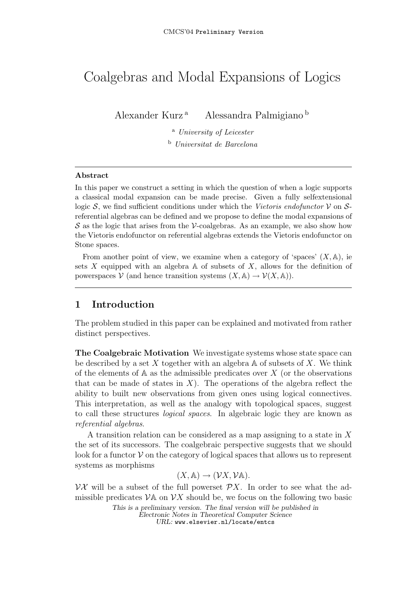# Coalgebras and Modal Expansions of Logics

Alexander Kurz <sup>a</sup> Alessandra Palmigiano <sup>b</sup>

<sup>a</sup> University of Leicester <sup>b</sup> Universitat de Barcelona

Abstract

In this paper we construct a setting in which the question of when a logic supports a classical modal expansion can be made precise. Given a fully selfextensional logic S, we find sufficient conditions under which the Vietoris endofunctor  $\mathcal V$  on Sreferential algebras can be defined and we propose to define the modal expansions of  $S$  as the logic that arises from the V-coalgebras. As an example, we also show how the Vietoris endofunctor on referential algebras extends the Vietoris endofunctor on Stone spaces.

From another point of view, we examine when a category of 'spaces'  $(X, \mathbb{A})$ , ie sets X equipped with an algebra  $\mathbb A$  of subsets of X, allows for the definition of powerspaces  $V$  (and hence transition systems  $(X, A) \to V(X, A)$ ).

# 1 Introduction

The problem studied in this paper can be explained and motivated from rather distinct perspectives.

The Coalgebraic Motivation We investigate systems whose state space can be described by a set X together with an algebra  $\mathbb A$  of subsets of X. We think of the elements of  $A$  as the admissible predicates over  $X$  (or the observations that can be made of states in  $X$ ). The operations of the algebra reflect the ability to built new observations from given ones using logical connectives. This interpretation, as well as the analogy with topological spaces, suggest to call these structures logical spaces. In algebraic logic they are known as referential algebras.

A transition relation can be considered as a map assigning to a state in X the set of its successors. The coalgebraic perspective suggests that we should look for a functor  $\mathcal V$  on the category of logical spaces that allows us to represent systems as morphisms

 $(X, A) \rightarrow (VX, VA).$ 

 $\nu\mathcal{X}$  will be a subset of the full powerset  $\mathcal{P}X$ . In order to see what the admissible predicates  $\mathcal{V}$  and  $\mathcal{V}$  should be, we focus on the following two basic

This is a preliminary version. The final version will be published in Electronic Notes in Theoretical Computer Science URL: www.elsevier.nl/locate/entcs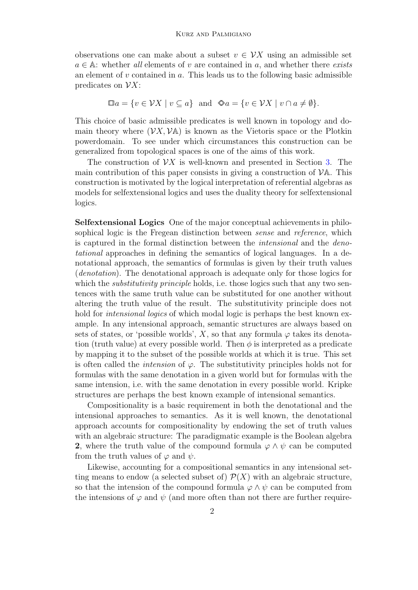observations one can make about a subset  $v \in \mathcal{V}X$  using an admissible set  $a \in A$ : whether all elements of v are contained in a, and whether there exists an element of  $v$  contained in  $a$ . This leads us to the following basic admissible predicates on  $\mathcal{V}X$ :

$$
\Box a = \{ v \in \mathcal{V}X \mid v \subseteq a \} \text{ and } \otimes a = \{ v \in \mathcal{V}X \mid v \cap a \neq \emptyset \}.
$$

This choice of basic admissible predicates is well known in topology and domain theory where  $(\mathcal{V}X, \mathcal{V}A)$  is known as the Vietoris space or the Plotkin powerdomain. To see under which circumstances this construction can be generalized from topological spaces is one of the aims of this work.

The construction of  $\mathcal{V}X$  is well-known and presented in Section [3.](#page-6-0) The main contribution of this paper consists in giving a construction of  $\mathcal{V}$ A. This construction is motivated by the logical interpretation of referential algebras as models for selfextensional logics and uses the duality theory for selfextensional logics.

Selfextensional Logics One of the major conceptual achievements in philosophical logic is the Fregean distinction between *sense* and *reference*, which is captured in the formal distinction between the *intensional* and the *deno*tational approaches in defining the semantics of logical languages. In a denotational approach, the semantics of formulas is given by their truth values (denotation). The denotational approach is adequate only for those logics for which the *substitutivity principle* holds, i.e. those logics such that any two sentences with the same truth value can be substituted for one another without altering the truth value of the result. The substitutivity principle does not hold for *intensional logics* of which modal logic is perhaps the best known example. In any intensional approach, semantic structures are always based on sets of states, or 'possible worlds', X, so that any formula  $\varphi$  takes its denotation (truth value) at every possible world. Then  $\phi$  is interpreted as a predicate by mapping it to the subset of the possible worlds at which it is true. This set is often called the *intension* of  $\varphi$ . The substitutivity principles holds not for formulas with the same denotation in a given world but for formulas with the same intension, i.e. with the same denotation in every possible world. Kripke structures are perhaps the best known example of intensional semantics.

Compositionality is a basic requirement in both the denotational and the intensional approaches to semantics. As it is well known, the denotational approach accounts for compositionality by endowing the set of truth values with an algebraic structure: The paradigmatic example is the Boolean algebra 2, where the truth value of the compound formula  $\varphi \wedge \psi$  can be computed from the truth values of  $\varphi$  and  $\psi$ .

Likewise, accounting for a compositional semantics in any intensional setting means to endow (a selected subset of)  $\mathcal{P}(X)$  with an algebraic structure, so that the intension of the compound formula  $\varphi \wedge \psi$  can be computed from the intensions of  $\varphi$  and  $\psi$  (and more often than not there are further require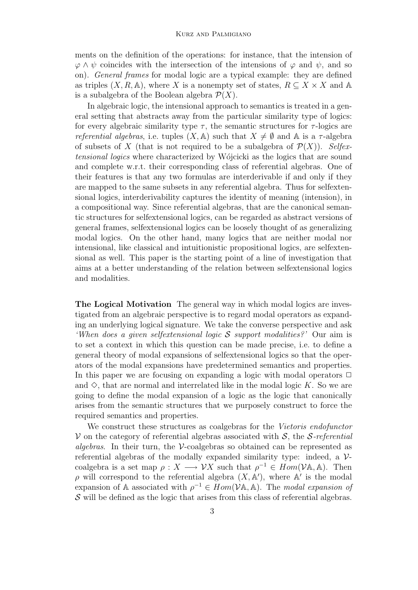ments on the definition of the operations: for instance, that the intension of  $\varphi \wedge \psi$  coincides with the intersection of the intensions of  $\varphi$  and  $\psi$ , and so on). General frames for modal logic are a typical example: they are defined as triples  $(X, R, \mathbb{A})$ , where X is a nonempty set of states,  $R \subseteq X \times X$  and A is a subalgebra of the Boolean algebra  $\mathcal{P}(X)$ .

In algebraic logic, the intensional approach to semantics is treated in a general setting that abstracts away from the particular similarity type of logics: for every algebraic similarity type  $\tau$ , the semantic structures for  $\tau$ -logics are referential algebras, i.e. tuples  $(X, A)$  such that  $X \neq \emptyset$  and A is a  $\tau$ -algebra of subsets of X (that is not required to be a subalgebra of  $\mathcal{P}(X)$ ). Selfextensional logics where characterized by Wójcicki as the logics that are sound and complete w.r.t. their corresponding class of referential algebras. One of their features is that any two formulas are interderivable if and only if they are mapped to the same subsets in any referential algebra. Thus for selfextensional logics, interderivability captures the identity of meaning (intension), in a compositional way. Since referential algebras, that are the canonical semantic structures for selfextensional logics, can be regarded as abstract versions of general frames, selfextensional logics can be loosely thought of as generalizing modal logics. On the other hand, many logics that are neither modal nor intensional, like classical and intuitionistic propositional logics, are selfextensional as well. This paper is the starting point of a line of investigation that aims at a better understanding of the relation between selfextensional logics and modalities.

The Logical Motivation The general way in which modal logics are investigated from an algebraic perspective is to regard modal operators as expanding an underlying logical signature. We take the converse perspective and ask 'When does a given selfextensional logic S support modalities?' Our aim is to set a context in which this question can be made precise, i.e. to define a general theory of modal expansions of selfextensional logics so that the operators of the modal expansions have predetermined semantics and properties. In this paper we are focusing on expanding a logic with modal operators  $\Box$ and  $\diamond$ , that are normal and interrelated like in the modal logic K. So we are going to define the modal expansion of a logic as the logic that canonically arises from the semantic structures that we purposely construct to force the required semantics and properties.

We construct these structures as coalgebras for the *Vietoris endofunctor*  $V$  on the category of referential algebras associated with S, the S-referential *algebras*. In their turn, the  $\mathcal{V}$ -coalgebras so obtained can be represented as referential algebras of the modally expanded similarity type: indeed, a  $\mathcal{V}$ coalgebra is a set map  $\rho: X \longrightarrow \mathcal{V}X$  such that  $\rho^{-1} \in Hom(\mathcal{V}A, A)$ . Then  $ρ$  will correspond to the referential algebra  $(X, A')$ , where A' is the modal expansion of A associated with  $\rho^{-1} \in Hom(VA, A)$ . The modal expansion of  $\mathcal S$  will be defined as the logic that arises from this class of referential algebras.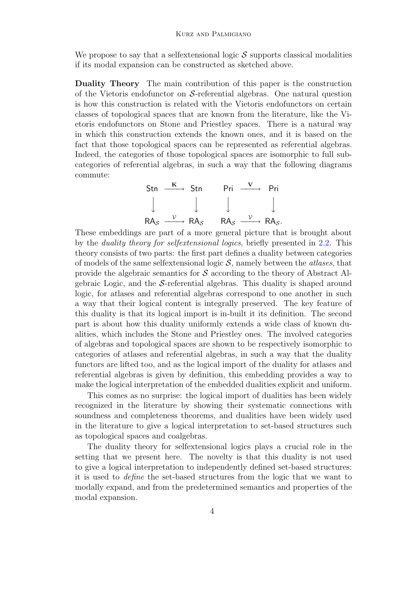We propose to say that a selfextensional logic  $\mathcal S$  supports classical modalities if its modal expansion can be constructed as sketched above.

Duality Theory The main contribution of this paper is the construction of the Vietoris endofunctor on  $S$ -referential algebras. One natural question is how this construction is related with the Vietoris endofunctors on certain classes of topological spaces that are known from the literature, like the Vietoris endofunctors on Stone and Priestley spaces. There is a natural way in which this construction extends the known ones, and it is based on the fact that those topological spaces can be represented as referential algebras. Indeed, the categories of those topological spaces are isomorphic to full subcategories of referential algebras, in such a way that the following diagrams commute:



These embeddings are part of a more general picture that is brought about by the duality theory for selfextensional logics, briefly presented in [2.2.](#page-5-0) This theory consists of two parts: the first part defines a duality between categories of models of the same selfextensional logic  $S$ , namely between the *atlases*, that provide the algebraic semantics for  $\mathcal S$  according to the theory of Abstract Algebraic Logic, and the  $S$ -referential algebras. This duality is shaped around logic, for atlases and referential algebras correspond to one another in such a way that their logical content is integrally preserved. The key feature of this duality is that its logical import is in-built it its definition. The second part is about how this duality uniformly extends a wide class of known dualities, which includes the Stone and Priestley ones. The involved categories of algebras and topological spaces are shown to be respectively isomorphic to categories of atlases and referential algebras, in such a way that the duality functors are lifted too, and as the logical import of the duality for atlases and referential algebras is given by definition, this embedding provides a way to make the logical interpretation of the embedded dualities explicit and uniform.

This comes as no surprise: the logical import of dualities has been widely recognized in the literature by showing their systematic connections with soundness and completeness theorems, and dualities have been widely used in the literature to give a logical interpretation to set-based structures such as topological spaces and coalgebras.

The duality theory for selfextensional logics plays a crucial role in the setting that we present here. The novelty is that this duality is not used to give a logical interpretation to independently defined set-based structures: it is used to define the set-based structures from the logic that we want to modally expand, and from the predetermined semantics and properties of the modal expansion.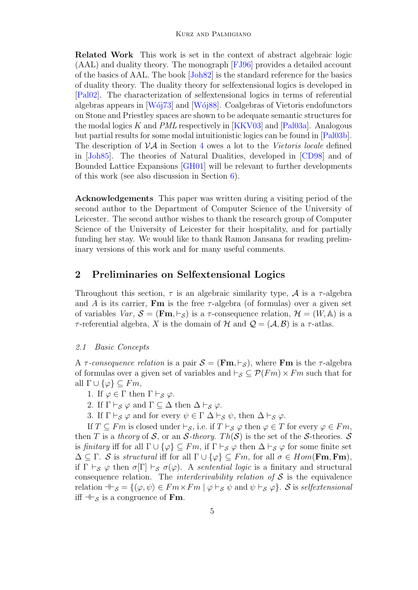Related Work This work is set in the context of abstract algebraic logic (AAL) and duality theory. The monograph [\[FJ96\]](#page-15-0) provides a detailed account of the basics of AAL. The book [\[Joh82\]](#page-15-1) is the standard reference for the basics of duality theory. The duality theory for selfextensional logics is developed in [\[Pal02\]](#page-15-2). The characterization of selfextensional logics in terms of referential algebras appears in  $W673$  and  $W688$ . Coalgebras of Vietoris endofunctors on Stone and Priestley spaces are shown to be adequate semantic structures for the modal logics K and  $PML$  respectively in [\[KKV03\]](#page-15-5) and [\[Pal03a\]](#page-15-6). Analogous but partial results for some modal intuitionistic logics can be found in [\[Pal03b\]](#page-15-7). The description of  $\mathcal{VA}$  in Section [4](#page-8-0) owes a lot to the Vietoris locale defined in [\[Joh85\]](#page-15-8). The theories of Natural Dualities, developed in [\[CD98\]](#page-15-9) and of Bounded Lattice Expansions [\[GH01\]](#page-15-10) will be relevant to further developments of this work (see also discussion in Section [6\)](#page-13-0).

Acknowledgements This paper was written during a visiting period of the second author to the Department of Computer Science of the University of Leicester. The second author wishes to thank the research group of Computer Science of the University of Leicester for their hospitality, and for partially funding her stay. We would like to thank Ramon Jansana for reading preliminary versions of this work and for many useful comments.

# 2 Preliminaries on Selfextensional Logics

Throughout this section,  $\tau$  is an algebraic similarity type,  $\mathcal A$  is a  $\tau$ -algebra and A is its carrier, **Fm** is the free  $\tau$ -algebra (of formulas) over a given set of variables  $Var, \mathcal{S} = (\mathbf{Fm}, \vdash_{\mathcal{S}})$  is a  $\tau$ -consequence relation,  $\mathcal{H} = (W, \mathbb{A})$  is a τ-referential algebra, X is the domain of H and  $\mathcal{Q} = (\mathcal{A}, \mathcal{B})$  is a τ-atlas.

#### 2.1 Basic Concepts

A  $\tau$ -consequence relation is a pair  $\mathcal{S} = (\mathbf{Fm}, \vdash_S)$ , where **Fm** is the  $\tau$ -algebra of formulas over a given set of variables and  $\vdash_{\mathcal{S}} \subseteq \mathcal{P}(Fm) \times Fm$  such that for all  $\Gamma \cup \{\varphi\} \subseteq Fm$ ,

- 1. If  $\varphi \in \Gamma$  then  $\Gamma \vdash_{\mathcal{S}} \varphi$ .
- 2. If  $\Gamma \vdash_{\mathcal{S}} \varphi$  and  $\Gamma \subseteq \Delta$  then  $\Delta \vdash_{\mathcal{S}} \varphi$ .
- 3. If  $\Gamma \vdash_{\mathcal{S}} \varphi$  and for every  $\psi \in \Gamma \Delta \vdash_{\mathcal{S}} \psi$ , then  $\Delta \vdash_{\mathcal{S}} \varphi$ .

If  $T \subseteq Fm$  is closed under  $\vdash_{\mathcal{S}}$ , i.e. if  $T \vdash_{\mathcal{S}} \varphi$  then  $\varphi \in T$  for every  $\varphi \in Fm$ , then T is a theory of S, or an S-theory. Th(S) is the set of the S-theories. S is finitary iff for all  $\Gamma \cup {\varphi} \subseteq Fm$ , if  $\Gamma \vdash_{\mathcal{S}} \varphi$  then  $\Delta \vdash_{\mathcal{S}} \varphi$  for some finite set  $\Delta \subseteq \Gamma$ . S is structural iff for all  $\Gamma \cup {\varphi} \subseteq Fm$ , for all  $\sigma \in Hom(\mathbf{Fm}, \mathbf{Fm})$ , if  $\Gamma \vdash_S \varphi$  then  $\sigma[\Gamma] \vdash_S \sigma(\varphi)$ . A sentential logic is a finitary and structural consequence relation. The *interderivability relation of*  $S$  is the equivalence relation  $\exists \vdash_S = \{(\varphi, \psi) \in Fm \times Fm \mid \varphi \vdash_S \psi \text{ and } \psi \vdash_S \varphi\}.$  S is selfectensional iff  $\mathcal{F}_{\mathcal{S}}$  is a congruence of Fm.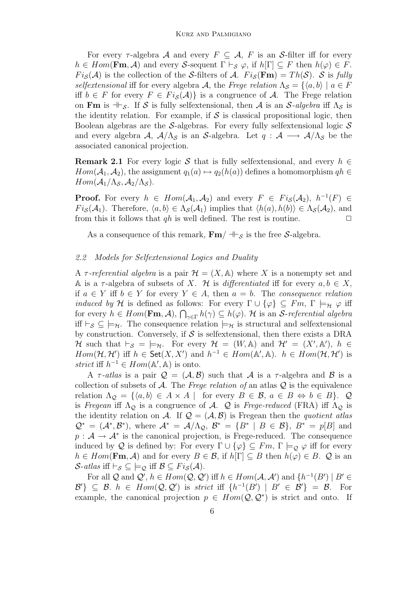For every  $\tau$ -algebra A and every  $F \subseteq A$ , F is an S-filter iff for every  $h \in Hom(\mathbf{Fm}, \mathcal{A})$  and every S-sequent  $\Gamma \vdash_{\mathcal{S}} \varphi$ , if  $h[\Gamma] \subseteq F$  then  $h(\varphi) \in F$ .  $Fi_{\mathcal{S}}(\mathcal{A})$  is the collection of the S-filters of A.  $Fi_{\mathcal{S}}(\mathbf{Fm}) = Th(\mathcal{S})$ . S is fully selfextensional iff for every algebra A, the Frege relation  $\Lambda_{\mathcal{S}} = \{ \langle a, b \rangle \mid a \in F$ iff  $b \in F$  for every  $F \in Fi_{\mathcal{S}}(\mathcal{A})\}$  is a congruence of A. The Frege relation on Fm is  $\mathcal{F}_s$ . If S is fully selfextensional, then A is an S-algebra iff  $\Lambda_s$  is the identity relation. For example, if  $S$  is classical propositional logic, then Boolean algebras are the S-algebras. For every fully selfextensional logic  $S$ and every algebra A,  $A/\Lambda_{\mathcal{S}}$  is an S-algebra. Let  $q : A \longrightarrow A/\Lambda_{\mathcal{S}}$  be the associated canonical projection.

**Remark 2.1** For every logic S that is fully selfextensional, and every  $h \in$  $Hom(\mathcal{A}_1, \mathcal{A}_2)$ , the assignment  $q_1(a) \mapsto q_2(h(a))$  defines a homomorphism  $qh \in$  $Hom(\mathcal{A}_1/\Lambda_{\mathcal{S}}, \mathcal{A}_2/\Lambda_{\mathcal{S}}).$ 

**Proof.** For every  $h \in Hom(\mathcal{A}_1, \mathcal{A}_2)$  and every  $F \in Fig(\mathcal{A}_2), h^{-1}(F) \in$  $Fi_{\mathcal{S}}(\mathcal{A}_1)$ . Therefore,  $\langle a, b \rangle \in \Lambda_{\mathcal{S}}(\mathcal{A}_1)$  implies that  $\langle h(a), h(b) \rangle \in \Lambda_{\mathcal{S}}(\mathcal{A}_2)$ , and from this it follows that  $qh$  is well defined. The rest is routine.  $\Box$ 

As a consequence of this remark,  $\mathbf{Fm}/\mathbf{B}_{\mathcal{S}}$  is the free S-algebra.

### <span id="page-5-0"></span>2.2 Models for Selfextensional Logics and Duality

A  $\tau$ -referential algebra is a pair  $\mathcal{H} = (X, \mathbb{A})$  where X is a nonempty set and A is a  $\tau$ -algebra of subsets of X. H is *differentiated* iff for every  $a, b \in X$ , if  $a \in Y$  iff  $b \in Y$  for every  $Y \in A$ , then  $a = b$ . The consequence relation *induced by* H is defined as follows: For every  $\Gamma \cup {\varphi} \subseteq Fm$ ,  $\Gamma \models_H \varphi$  iff for every  $h \in Hom(\mathbf{Fm}, \mathcal{A}), \bigcap_{\gamma \in \Gamma} h(\gamma) \subseteq h(\varphi)$ . H is an *S*-referential algebra iff  $\vdash_{\mathcal{S}} \subseteq \models_{\mathcal{H}}$ . The consequence relation  $\models_{\mathcal{H}}$  is structural and selfextensional by construction. Conversely, if  $S$  is selfextensional, then there exists a DRA H such that  $\vdash_{\mathcal{S}} \; = \; \models_{\mathcal{H}}$ . For every  $\mathcal{H} = (W, \mathbb{A})$  and  $\mathcal{H}' = (X', \mathbb{A}'), h \in$  $Hom(\mathcal{H}, \mathcal{H}')$  iff  $h \in \mathsf{Set}(X, X')$  and  $h^{-1} \in Hom(\mathbb{A}', \mathbb{A})$ .  $h \in Hom(\mathcal{H}, \mathcal{H}')$  is strict iff  $h^{-1} \in Hom(\mathbb{A}', \mathbb{A})$  is onto.

A  $\tau$ -atlas is a pair  $\mathcal{Q} = (\mathcal{A}, \mathcal{B})$  such that  $\mathcal{A}$  is a  $\tau$ -algebra and  $\mathcal{B}$  is a collection of subsets of  $A$ . The Frege relation of an atlas  $Q$  is the equivalence relation  $\Lambda_{\mathcal{Q}} = \{ \langle a, b \rangle \in A \times A \mid \text{for every } B \in \mathcal{B}, a \in B \Leftrightarrow b \in B \}.$  Q is Fregean iff  $\Lambda_{\mathcal{Q}}$  is a congruence of A.  $\mathcal Q$  is Frege-reduced (FRA) iff  $\Lambda_{\mathcal{Q}}$  is the identity relation on A. If  $\mathcal{Q} = (\mathcal{A}, \mathcal{B})$  is Fregean then the quotient atlas  $\mathcal{Q}^* = (\mathcal{A}^*, \mathcal{B}^*)$ , where  $\mathcal{A}^* = \mathcal{A}/\Lambda_{\mathcal{Q}}, \mathcal{B}^* = \{B^* \mid B \in \mathcal{B}\}, \mathcal{B}^* = p[B]$  and  $p: \mathcal{A} \to \mathcal{A}^*$  is the canonical projection, is Frege-reduced. The consequence induced by Q is defined by: For every  $\Gamma \cup {\varphi} \subseteq Fm$ ,  $\Gamma \models_{\mathcal{Q}} \varphi$  iff for every  $h \in Hom(\mathbf{Fm}, \mathcal{A})$  and for every  $B \in \mathcal{B}$ , if  $h[\Gamma] \subseteq B$  then  $h(\varphi) \in B$ .  $\mathcal{Q}$  is an S-atlas iff  $\vdash_{\mathcal{S}} \subseteq \models_{\mathcal{Q}}$  iff  $\mathcal{B} \subseteq Fi_{\mathcal{S}}(\mathcal{A})$ .

For all Q and  $\mathcal{Q}'$ ,  $h \in Hom(\mathcal{Q}, \mathcal{Q}')$  iff  $h \in Hom(\mathcal{A}, \mathcal{A}')$  and  $\{h^{-1}(B') \mid B' \in \mathcal{Q}'\}$  $\mathcal{B}'\}\subseteq \mathcal{B}$ .  $h \in Hom(\mathcal{Q}, \mathcal{Q}')$  is strict iff  $\{h^{-1}(B') \mid B' \in \mathcal{B}'\} = \mathcal{B}$ . For example, the canonical projection  $p \in Hom(Q, Q^*)$  is strict and onto. If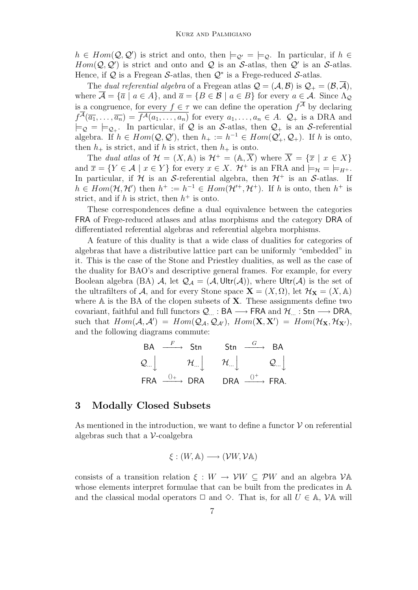$h \in Hom(Q, Q')$  is strict and onto, then  $\models_{Q'} = \models_{Q}$ . In particular, if  $h \in$  $Hom(Q, Q')$  is strict and onto and Q is an S-atlas, then Q' is an S-atlas. Hence, if  $Q$  is a Fregean S-atlas, then  $Q^*$  is a Frege-reduced S-atlas.

The dual referential algebra of a Fregean atlas  $\mathcal{Q} = (\mathcal{A}, \mathcal{B})$  is  $\mathcal{Q}_+ = (\mathcal{B}, \overline{\mathcal{A}})$ , where  $\overline{A} = {\overline{a} \mid a \in A}$ , and  $\overline{a} = {B \in B \mid a \in B}$  for every  $a \in A$ . Since  $\Lambda_{\mathcal{Q}}$ is a congruence, for every  $f \in \tau$  we can define the operation  $f^{\mathcal{A}}$  by declaring  $f^{\mathcal{A}}(\overline{a_1},\ldots,\overline{a_n})=\overline{f^{\mathcal{A}}(a_1,\ldots,a_n)}$  for every  $a_1,\ldots,a_n\in A$ .  $\mathcal{Q}_+$  is a DRA and  $|=_{\mathcal{Q}}=|=_{\mathcal{Q}_+}$ . In particular, if  $\mathcal Q$  is an S-atlas, then  $\mathcal{Q}_+$  is an S-referential algebra. If  $h \in Hom(Q, Q')$ , then  $h_+ := h^{-1} \in Hom(Q'_+, Q_+)$ . If h is onto, then  $h_+$  is strict, and if h is strict, then  $h_+$  is onto.

The dual atlas of  $\mathcal{H} = (X, \mathbb{A})$  is  $\mathcal{H}^+ = (\mathbb{A}, \overline{X})$  where  $\overline{X} = {\overline{x} \mid x \in X}$ and  $\overline{x} = \{Y \in \mathcal{A} \mid x \in Y\}$  for every  $x \in X$ .  $\mathcal{H}^+$  is an FRA and  $\models_{\mathcal{H}} \equiv \models_{H^+}$ . In particular, if  $H$  is an S-referential algebra, then  $H^+$  is an S-atlas. If  $h \in Hom(\mathcal{H}, \mathcal{H}')$  then  $h^+ := h^{-1} \in Hom(\mathcal{H}'^+, \mathcal{H}^+)$ . If h is onto, then  $h^+$  is strict, and if h is strict, then  $h^+$  is onto.

These correspondences define a dual equivalence between the categories FRA of Frege-reduced atlases and atlas morphisms and the category DRA of differentiated referential algebras and referential algebra morphisms.

A feature of this duality is that a wide class of dualities for categories of algebras that have a distributive lattice part can be uniformly "embedded" in it. This is the case of the Stone and Priestley dualities, as well as the case of the duality for BAO's and descriptive general frames. For example, for every Boolean algebra (BA) A, let  $\mathcal{Q}_A = (\mathcal{A}, \mathsf{Ultr}(\mathcal{A}))$ , where  $\mathsf{Ultr}(\mathcal{A})$  is the set of the ultrafilters of A, and for every Stone space  $\mathbf{X} = (X, \Omega)$ , let  $\mathcal{H}_{\mathbf{X}} = (X, \mathbb{A})$ where  $A$  is the BA of the clopen subsets of  $X$ . These assignments define two covariant, faithful and full functors  $Q_{...}$  : BA  $\longrightarrow$  FRA and  $\mathcal{H}_{...}$  : Stn  $\longrightarrow$  DRA, such that  $Hom(\mathcal{A}, \mathcal{A}') = Hom(Q_{\mathcal{A}}, Q_{\mathcal{A}'})$ ,  $Hom(\mathbf{X}, \mathbf{X}') = Hom(\mathcal{H}_{\mathbf{X}}, \mathcal{H}_{\mathbf{X}'})$ , and the following diagrams commute:

$$
\begin{array}{ccc}\n\text{BA} & \xrightarrow{F} & \text{Stn} & \text{Stn} & \xrightarrow{G} & \text{BA} \\
\mathcal{Q}_{\dots} & & \mathcal{H}_{\dots} & & \mathcal{H}_{\dots}\n\end{array}
$$
\n
$$
\begin{array}{ccc}\n\text{H}_{\dots} & & \mathcal{H}_{\dots}\n\end{array}
$$
\n
$$
\begin{array}{ccc}\n\text{FRA} & \xrightarrow{0+} & \text{DRA} & & \text{DRA} & \xrightarrow{0^+} & \text{FRA}.\n\end{array}
$$

### <span id="page-6-0"></span>3 Modally Closed Subsets

As mentioned in the introduction, we want to define a functor  $\mathcal V$  on referential algebras such that a  $\mathcal V$ -coalgebra

$$
\xi : (W, \mathbb{A}) \longrightarrow (\mathcal{V}W, \mathcal{V}\mathbb{A})
$$

consists of a transition relation  $\xi : W \to \mathcal{V}W \subset \mathcal{P}W$  and an algebra  $\mathcal{V}$ A whose elements interpret formulae that can be built from the predicates in A and the classical modal operators  $\Box$  and  $\diamond$ . That is, for all  $U \in \mathbb{A}$ ,  $\mathcal{V}\mathbb{A}$  will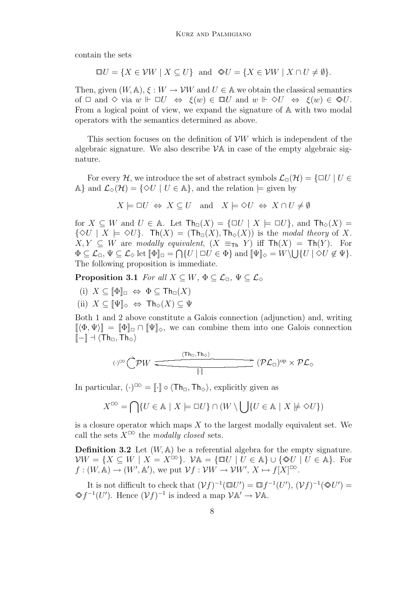contain the sets

$$
\Box U = \{ X \in \mathcal{V}W \mid X \subseteq U \} \text{ and } \otimes U = \{ X \in \mathcal{V}W \mid X \cap U \neq \emptyset \}.
$$

Then, given  $(W, A)$ ,  $\xi: W \to VW$  and  $U \in A$  we obtain the classical semantics of  $\Box$  and  $\Diamond$  via  $w \Vdash \Box U \Leftrightarrow \xi(w) \in \Box U$  and  $w \Vdash \Diamond U \Leftrightarrow \xi(w) \in \Diamond U$ . From a logical point of view, we expand the signature of A with two modal operators with the semantics determined as above.

This section focuses on the definition of  $VW$  which is independent of the algebraic signature. We also describe  $\mathcal{V}$  and case of the empty algebraic signature.

For every H, we introduce the set of abstract symbols  $\mathcal{L}_{\Box}(\mathcal{H}) = \{\Box U \mid U \in$ A} and  $\mathcal{L}_{\diamond}(\mathcal{H}) = \{ \diamond U \mid U \in \mathbb{A} \}$ , and the relation  $\models$  given by

$$
X \models \Box U \Leftrightarrow X \subseteq U
$$
 and  $X \models \Diamond U \Leftrightarrow X \cap U \neq \emptyset$ 

for  $X \subseteq W$  and  $U \in \mathbb{A}$ . Let  $\text{Th}_{\Box}(X) = {\Box U \mid X \models \Box U}$ , and  $\text{Th}_{\Diamond}(X) =$  $\{\Diamond U \mid X \models \Diamond U\}.$  Th $(X) = (\text{Th}_{\Box}(X), \text{Th}_{\Diamond}(X))$  is the modal theory of X.  $X, Y \subseteq W$  are modally equivalent,  $(X \equiv_{\text{Th}} Y)$  iff  $\text{Th}(X) = \text{Th}(Y)$ . For  $\Phi \subseteq \mathcal{L}_{\Box}, \Psi \subseteq \mathcal{L}_{\Diamond}$  let  $[\![\Phi]\!]_{\Box} = \bigcap \{U \mid \Box U \in \Phi\}$  and  $[\![\Psi]\!]_{\Diamond} = W \setminus \bigcup \{U \mid \Diamond U \notin \Psi\}.$ The following proposition is immediate.

**Proposition 3.1** For all  $X \subseteq W$ ,  $\Phi \subseteq \mathcal{L}_{\Box}$ ,  $\Psi \subseteq \mathcal{L}_{\Diamond}$ 

- (i)  $X \subseteq \llbracket \Phi \rrbracket_{\Box} \Leftrightarrow \Phi \subseteq \mathsf{Th}_{\Box}(X)$
- (ii)  $X \subseteq \llbracket \Psi \rrbracket_{\diamond} \Leftrightarrow \text{Th}_{\diamond}(X) \subseteq \Psi$

Both 1 and 2 above constitute a Galois connection (adjunction) and, writing  $[\langle \Phi, \Psi \rangle] = [\Phi]_{\Box} \cap [\Psi]_{\Diamond}$ , we can combine them into one Galois connection  $[-] \dashv \langle \text{Th}_{\Box}, \text{Th}_{\Diamond} \rangle$ 

$$
(\cdot)^{\text{D}\Diamond} \bigcirc^{\text{D}} \mathcal{P} W \xrightarrow{\text{Tr}_{\text{D}, \text{Th}_\Diamond}} (\mathcal{P} \mathcal{L}_{\Box})^{\text{op}} \times \mathcal{P} \mathcal{L}_{\Diamond}
$$

In particular,  $(\cdot)^{\infty} = [\cdot] \circ \langle \text{Th}_{\Box}, \text{Th}_{\Diamond} \rangle$ , explicitly given as

$$
X^{\Box \Diamond} = \bigcap \{ U \in \mathbb{A} \mid X \models \Box U \} \cap (W \setminus \bigcup \{ U \in \mathbb{A} \mid X \not\models \Diamond U \})
$$

is a closure operator which maps  $X$  to the largest modally equivalent set. We call the sets  $X^{\Box \Diamond}$  the modally closed sets.

<span id="page-7-0"></span>**Definition 3.2** Let  $(W, A)$  be a referential algebra for the empty signature.  $VW = \{X \subseteq W \mid X = X^{\square\lozenge}\}\$ .  $\mathcal{V}\mathbb{A} = \{\square U \mid U \in \mathbb{A}\}\cup \{\triangleleft U \mid U \in \mathbb{A}\}\$ . For  $f:(W,\mathbb{A})\to(W',\mathbb{A}')$ , we put  $\mathcal{V}f:\mathcal{V}W\to\mathcal{V}W', X\mapsto f[X]^{T\infty}$ .

It is not difficult to check that  $(\mathcal{V}f)^{-1}(\mathbb{U}U') = \mathbb{U}f^{-1}(U'), (\mathcal{V}f)^{-1}(\mathbb{Q}U') =$  $\otimes f^{-1}(U')$ . Hence  $(\mathcal{V}f)^{-1}$  is indeed a map  $\mathcal{V}$ A'  $\rightarrow \mathcal{V}$ A.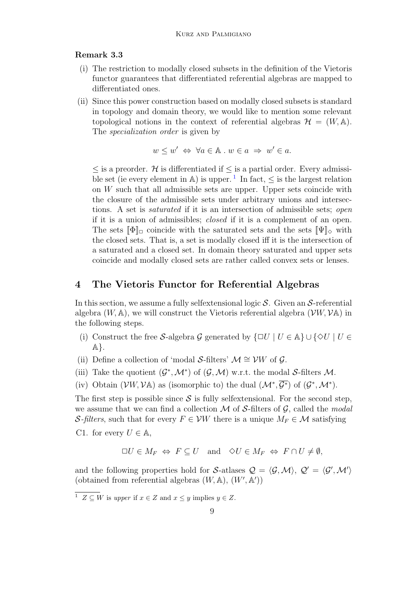#### Remark 3.3

- (i) The restriction to modally closed subsets in the definition of the Vietoris functor guarantees that differentiated referential algebras are mapped to differentiated ones.
- (ii) Since this power construction based on modally closed subsets is standard in topology and domain theory, we would like to mention some relevant topological notions in the context of referential algebras  $\mathcal{H} = (W, \mathbb{A}).$ The *specialization order* is given by

$$
w \leq w' \iff \forall a \in \mathbb{A} \; w \in a \;\Rightarrow\; w' \in a.
$$

 $\leq$  is a preorder. H is differentiated if  $\leq$  is a partial order. Every admissi-ble set (ie every element in A) is upper.<sup>[1](#page-8-1)</sup> In fact,  $\leq$  is the largest relation on  $W$  such that all admissible sets are upper. Upper sets coincide with the closure of the admissible sets under arbitrary unions and intersections. A set is saturated if it is an intersection of admissible sets; open if it is a union of admissibles; closed if it is a complement of an open. The sets  $[\![\Phi]\!]_{\Box}$  coincide with the saturated sets and the sets  $[\![\Psi]\!]_{\Diamond}$  with the closed sets. That is, a set is modally closed iff it is the intersection of a saturated and a closed set. In domain theory saturated and upper sets coincide and modally closed sets are rather called convex sets or lenses.

### <span id="page-8-0"></span>4 The Vietoris Functor for Referential Algebras

In this section, we assume a fully selfextensional logic  $S$ . Given an  $S$ -referential algebra  $(W, A)$ , we will construct the Vietoris referential algebra  $(VW, VA)$  in the following steps.

- (i) Construct the free S-algebra G generated by  $\{\Box U \mid U \in \mathbb{A}\}\cup \{\Diamond U \mid U \in$  $\mathbb{A}\}.$
- (ii) Define a collection of 'modal S-filters'  $\mathcal{M} \cong \mathcal{V}W$  of  $\mathcal{G}$ .
- (iii) Take the quotient  $(\mathcal{G}^*, \mathcal{M}^*)$  of  $(\mathcal{G}, \mathcal{M})$  w.r.t. the modal S-filters M.
- (iv) Obtain  $(\mathcal{V}W, \mathcal{V}A)$  as (isomorphic to) the dual  $(\mathcal{M}^*, \overline{\mathcal{G}^*})$  of  $(\mathcal{G}^*, \mathcal{M}^*)$ .

The first step is possible since  $S$  is fully selfextensional. For the second step, we assume that we can find a collection  $\mathcal M$  of S-filters of  $\mathcal G$ , called the modal S-filters, such that for every  $F \in VW$  there is a unique  $M_F \in \mathcal{M}$  satisfying

C1. for every  $U \in \mathbb{A}$ ,

$$
\Box U \in M_F \Leftrightarrow F \subseteq U \quad \text{and} \quad \Diamond U \in M_F \Leftrightarrow F \cap U \neq \emptyset,
$$

and the following properties hold for S-atlases  $\mathcal{Q} = \langle \mathcal{G}, \mathcal{M} \rangle, \mathcal{Q}' = \langle \mathcal{G}', \mathcal{M}' \rangle$ (obtained from referential algebras  $(W, A), (W', A')$ )

<span id="page-8-1"></span><sup>&</sup>lt;sup>1</sup>  $Z \subseteq W$  is upper if  $x \in Z$  and  $x \leq y$  implies  $y \in Z$ .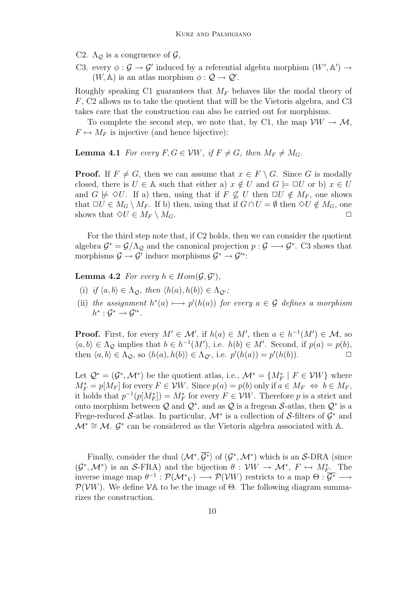C2.  $\Lambda_{\mathcal{Q}}$  is a congruence of  $\mathcal{G},$ 

C3. every  $\phi : \mathcal{G} \to \mathcal{G}'$  induced by a referential algebra morphism  $(W', \mathbb{A}') \to$  $(W, A)$  is an atlas morphism  $\phi : Q \to Q'$ .

Roughly speaking C1 guarantees that  $M_F$  behaves like the modal theory of F, C2 allows us to take the quotient that will be the Vietoris algebra, and C3 takes care that the construction can also be carried out for morphisms.

To complete the second step, we note that, by C1, the map  $\mathcal{V}W \to \mathcal{M}$ ,  $F \mapsto M_F$  is injective (and hence bijective):

**Lemma 4.1** For every  $F, G \in VW$ , if  $F \neq G$ , then  $M_F \neq M_G$ .

**Proof.** If  $F \neq G$ , then we can assume that  $x \in F \setminus G$ . Since G is modally closed, there is  $U \in A$  such that either a)  $x \notin U$  and  $G \models \Box U$  or b)  $x \in U$ and  $G \not\models \Diamond U$ . If a) then, using that if  $F \not\subseteq U$  then  $\Box U \notin M_F$ , one shows that  $\Box U \in M_G \setminus M_F$ . If b) then, using that if  $G \cap U = \emptyset$  then  $\Diamond U \notin M_G$ , one shows that  $\Diamond U \in M_F \setminus M_G$ .

For the third step note that, if C2 holds, then we can consider the quotient algebra  $\mathcal{G}^* = \mathcal{G}/\Lambda_{\mathcal{Q}}$  and the canonical projection  $p: \mathcal{G} \longrightarrow \mathcal{G}^*$ . C3 shows that morphisms  $\mathcal{G} \to \mathcal{G}'$  induce morphisms  $\mathcal{G}^* \to \mathcal{G}'^*$ :

**Lemma 4.2** For every  $h \in Hom(\mathcal{G}, \mathcal{G}')$ ,

- (i) if  $\langle a, b \rangle \in \Lambda_{\mathcal{O}}$ , then  $\langle h(a), h(b) \rangle \in \Lambda_{\mathcal{O}}$ ;
- (ii) the assignment  $h^*(a) \longmapsto p'(h(a))$  for every  $a \in \mathcal{G}$  defines a morphism  $h^*: \mathcal{G}^* \to \mathcal{G}'^*.$

**Proof.** First, for every  $M' \in \mathcal{M}'$ , if  $h(a) \in M'$ , then  $a \in h^{-1}(M') \in \mathcal{M}$ , so  $\langle a, b \rangle \in \Lambda_{\mathcal{Q}}$  implies that  $b \in h^{-1}(M')$ , i.e.  $h(b) \in M'$ . Second, if  $p(a) = p(b)$ , then  $\langle a, b \rangle \in \Lambda_{\mathcal{Q}}$ , so  $\langle h(a), h(b) \rangle \in \Lambda_{\mathcal{Q}}$ , i.e.  $p'(h(a)) = p'(h(b))$ .

Let  $\mathcal{Q}^* = (\mathcal{G}^*, \mathcal{M}^*)$  be the quotient atlas, i.e.,  $\mathcal{M}^* = \{M^*_F | F \in \mathcal{V}W\}$  where  $M_F^* = p[M_F]$  for every  $F \in \mathcal{V}W$ . Since  $p(a) = p(b)$  only if  $a \in M_F$   $\Leftrightarrow b \in M_F$ , it holds that  $p^{-1}(p[M_F^*]) = M_F^*$  for every  $F \in \mathcal{V}W$ . Therefore p is a strict and onto morphism between Q and  $\mathcal{Q}^*$ , and as Q is a fregean S-atlas, then  $\mathcal{Q}^*$  is a Frege-reduced S-atlas. In particular,  $\mathcal{M}^*$  is a collection of S-filters of  $\mathcal{G}^*$  and  $\mathcal{M}^* \cong \mathcal{M}$ .  $\mathcal{G}^*$  can be considered as the Vietoris algebra associated with A.

Finally, consider the dual  $\langle \mathcal{M}^*, \overline{\mathcal{G}^*} \rangle$  of  $(\mathcal{G}^*, \mathcal{M}^*)$  which is an S-DRA (since  $(\mathcal{G}^*, \mathcal{M}^*)$  is an S-FRA) and the bijection  $\theta : \mathcal{V}W \to \mathcal{M}^*, F \mapsto M^*_{F^*}$ . The inverse image map  $\theta^{-1}: \mathcal{P}(\mathcal{M}^*_{V}) \longrightarrow \mathcal{P}(\mathcal{V}W)$  restricts to a map  $\Theta: \overline{\mathcal{G}^*} \longrightarrow$  $\mathcal{P}(\mathcal{V}W)$ . We define  $\mathcal{V}$  to be the image of  $\Theta$ . The following diagram summarizes the construction.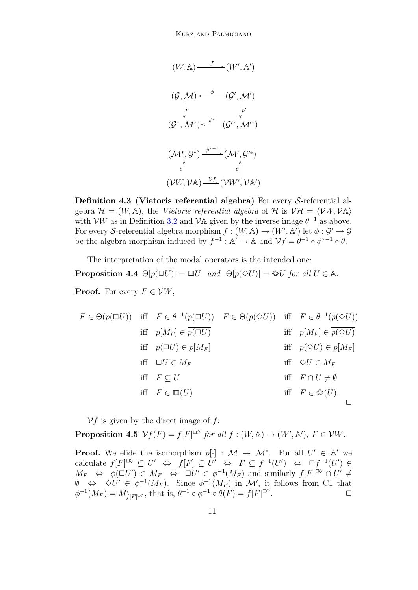$$
(W, A) \xrightarrow{f} (W', A')
$$
  

$$
(G, M) \xleftarrow{\phi} (G', M')
$$
  

$$
p \qquad \qquad p'
$$
  

$$
(G^*, M^*) \xleftarrow{\phi^*} (G'^*, M'^*)
$$
  

$$
(\mathcal{M}^*, \overline{G^*}) \xrightarrow{\phi^{*-1}} (\mathcal{M}', \overline{G'^*})
$$
  

$$
\phi \qquad \qquad \phi \qquad \qquad \phi \qquad \qquad \phi \qquad \qquad \phi \qquad \qquad \phi \qquad \qquad \phi \qquad \qquad \phi \qquad \qquad \phi \qquad \qquad \phi \qquad \qquad \phi \qquad \qquad \phi \qquad \qquad \phi \qquad \qquad \phi \qquad \qquad \phi \qquad \qquad \phi \qquad \qquad \phi \qquad \qquad \phi \qquad \qquad \phi \qquad \qquad \phi \qquad \qquad \phi \qquad \qquad \phi \qquad \qquad \phi \qquad \qquad \phi \qquad \qquad \phi \qquad \qquad \phi \qquad \qquad \phi \qquad \qquad \phi \qquad \qquad \phi \qquad \qquad \phi \qquad \qquad \phi \qquad \qquad \phi \qquad \qquad \phi \qquad \qquad \phi \qquad \qquad \phi \qquad \qquad \phi \qquad \qquad \phi \qquad \qquad \phi \qquad \qquad \phi \qquad \qquad \phi \qquad \qquad \phi \qquad \qquad \phi \qquad \qquad \phi \qquad \qquad \phi \qquad \qquad \phi \qquad \qquad \phi \qquad \qquad \phi \qquad \qquad \phi \qquad \qquad \phi \qquad \qquad \phi \qquad \qquad \phi \qquad \qquad \phi \qquad \qquad \phi \qquad \qquad \phi \qquad \qquad \phi \qquad \qquad \phi \qquad \qquad \phi \qquad \qquad \phi \qquad \qquad \phi \qquad \qquad \phi \qquad \qquad \phi \qquad \qquad \phi \qquad \qquad \phi \qquad \qquad \phi \qquad \qquad \phi \qquad \qquad \phi \qquad \qquad \phi \qquad \qquad \phi \qquad \qquad \phi \qquad \qquad \phi \qquad \qquad \phi \qquad \qquad \phi \qquad \qquad \phi \qquad \qquad \phi \qquad \qquad \phi \qquad \qquad \phi \qquad \qquad \phi \q
$$

Definition 4.3 (Vietoris referential algebra) For every S-referential algebra  $\mathcal{H} = (W, \mathbb{A})$ , the Vietoris referential algebra of  $\mathcal{H}$  is  $\mathcal{V}\mathcal{H} = \langle \mathcal{V}W, \mathcal{V}\mathbb{A} \rangle$ with  $VW$  as in Definition [3.2](#page-7-0) and  $V$ A given by the inverse image  $\theta^{-1}$  as above. For every S-referential algebra morphism  $f : (W, A) \to (W', A')$  let  $\phi : \mathcal{G}' \to \mathcal{G}$ be the algebra morphism induced by  $f^{-1}: \mathbb{A}' \to \mathbb{A}$  and  $\mathcal{V}f = \theta^{-1} \circ \phi^{*-1} \circ \theta$ .

<span id="page-10-0"></span>The interpretation of the modal operators is the intended one: **Proposition 4.4**  $\Theta[\overline{p(\Box U)}] = \Box U$  and  $\Theta[\overline{p(\Diamond U)}] = \mathcal{N}U$  for all  $U \in \mathbb{A}$ . **Proof.** For every  $F \in \mathcal{V}W$ ,

$$
F \in \Theta(\overline{p(\Box U)}) \quad \text{iff} \quad F \in \theta^{-1}(\overline{p(\Box U)}) \quad F \in \Theta(\overline{p(\Diamond U)}) \quad \text{iff} \quad F \in \theta^{-1}(\overline{p(\Diamond U)})
$$
\n
$$
\text{iff} \quad p[M_F] \in \overline{p(\Box U)} \quad \text{iff} \quad p[M_F] \in \overline{p(\Diamond U)}
$$
\n
$$
\text{iff} \quad p(\Box U) \in p[M_F] \quad \text{iff} \quad p(\Diamond U) \in p[M_F]
$$
\n
$$
\text{iff} \quad \Box U \in M_F \quad \text{iff} \quad \Diamond U \in M_F
$$
\n
$$
\text{iff} \quad F \subseteq U \quad \text{iff} \quad F \cap U \neq \emptyset
$$
\n
$$
\text{iff} \quad F \in \mathbb{Q}(U) \quad \text{iff} \quad F \in \mathbb{Q}(U).
$$

 $Vf$  is given by the direct image of f:

<span id="page-10-1"></span>**Proposition 4.5**  $\mathcal{V}f(F) = f[F]^{\square \diamond}$  for all  $f : (W, \mathbb{A}) \to (W', \mathbb{A}'), F \in \mathcal{V}W$ .

**Proof.** We elide the isomorphism  $p[\cdot] : \mathcal{M} \to \mathcal{M}^*$ . For all  $U' \in \mathbb{A}'$  we calculate  $f[F] \subseteq U' \Leftrightarrow f[F] \subseteq U' \Leftrightarrow F \subseteq f^{-1}(U') \Leftrightarrow \Box f^{-1}(U') \in$  $M_F \Leftrightarrow \phi(\Box U') \in M_F \Leftrightarrow \Box U' \in \phi^{-1}(M_F)$  and similarly  $f[F]^{C\&set} \cap U' \neq$  $\emptyset \Leftrightarrow \Diamond U' \in \phi^{-1}(M_F)$ . Since  $\phi^{-1}(M_F)$  in M', it follows from C1 that  $\phi^{-1}(M_F) = M'_{f[F]^{\Box \Diamond}}$ , that is,  $\theta^{-1} \circ \phi^{-1} \circ \theta(F) = f[F]^{\Box \Diamond}$ .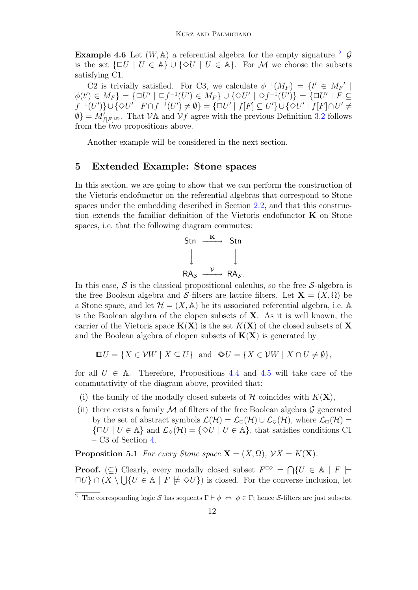**Example 4.6** Let  $(W, A)$  a referential algebra for the empty signature.<sup>[2](#page-11-0)</sup>  $\mathcal{G}$ is the set  $\{\Box U \mid U \in \mathbb{A}\}\cup \{\Diamond U \mid U \in \mathbb{A}\}.$  For M we choose the subsets satisfying C1.

C2 is trivially satisfied. For C3, we calculate  $\phi^{-1}(M_F) = \{t' \in M_F' \mid$  $\phi(t') \in M_F$ } = { $\Box U' | \Box f^{-1}(U') \in M_F$ }  $\cup$  { $\Diamond U' | \Diamond f^{-1}(U')$ } = { $\Box U' | F \subseteq$  $f^{-1}(U')\cup\{\diamondsuit U'\mid F\cap f^{-1}(U')\neq\emptyset\}=\{\Box U'\mid f[F]\subseteq U'\}\cup\{\diamondsuit U'\mid f[F]\cap U'\neq\emptyset\}$  $\emptyset$ } =  $M'_{f[F]}$   $\infty$ . That  $\mathcal{V}$  and  $\mathcal{V}$  agree with the previous Definition [3.2](#page-7-0) follows from the two propositions above.

Another example will be considered in the next section.

### 5 Extended Example: Stone spaces

In this section, we are going to show that we can perform the construction of the Vietoris endofunctor on the referential algebras that correspond to Stone spaces under the embedding described in Section [2.2,](#page-5-0) and that this construction extends the familiar definition of the Vietoris endofunctor  $\bf{K}$  on Stone spaces, i.e. that the following diagram commutes:

$$
\begin{array}{ccc}\n\text{Stn} & \xrightarrow{\mathbf{K}} & \text{Stn} \\
\downarrow & & \downarrow \\
\text{RA}_{\mathcal{S}} & \xrightarrow{\mathcal{V}} & \text{RA}_{\mathcal{S}}.\n\end{array}
$$

In this case,  $\mathcal S$  is the classical propositional calculus, so the free  $\mathcal S$ -algebra is the free Boolean algebra and S-filters are lattice filters. Let  $\mathbf{X} = (X, \Omega)$  be a Stone space, and let  $\mathcal{H} = (X, \mathbb{A})$  be its associated referential algebra, i.e. A is the Boolean algebra of the clopen subsets of  $X$ . As it is well known, the carrier of the Vietoris space  $K(X)$  is the set  $K(X)$  of the closed subsets of X and the Boolean algebra of clopen subsets of  $K(X)$  is generated by

$$
\Box U = \{ X \in \mathcal{V}W \mid X \subseteq U \} \text{ and } \otimes U = \{ X \in \mathcal{V}W \mid X \cap U \neq \emptyset \},
$$

for all  $U \in \mathbb{A}$ . Therefore, Propositions [4.4](#page-10-0) and [4.5](#page-10-1) will take care of the commutativity of the diagram above, provided that:

- (i) the family of the modally closed subsets of  $H$  coincides with  $K(\mathbf{X})$ ,
- (ii) there exists a family M of filters of the free Boolean algebra  $\mathcal G$  generated by the set of abstract symbols  $\mathcal{L}(\mathcal{H}) = \mathcal{L}_{\Box}(\mathcal{H}) \cup \mathcal{L}_{\Diamond}(\mathcal{H})$ , where  $\mathcal{L}_{\Box}(\mathcal{H}) =$  $\{\Box U \mid U \in \mathbb{A}\}\$ and  $\mathcal{L}_{\diamond}(H) = \{\diamond U \mid U \in \mathbb{A}\}\$ , that satisfies conditions C1 – C3 of Section [4.](#page-8-0)

**Proposition 5.1** For every Stone space  $\mathbf{X} = (X, \Omega)$ ,  $\mathcal{V}X = K(\mathbf{X})$ .

**Proof.** ( $\subseteq$ ) Clearly, every modally closed subset  $F^{\Box \Diamond} = \bigcap \{U \in \mathbb{A} \mid F \models$  $\Box U$ }  $\cap (X \setminus \bigcup \{U \in \mathbb{A} \mid F \not\models \Diamond U\})$  is closed. For the converse inclusion, let

<span id="page-11-0"></span><sup>&</sup>lt;sup>2</sup> The corresponding logic S has sequents  $\Gamma \vdash \phi \Leftrightarrow \phi \in \Gamma$ ; hence S-filters are just subsets.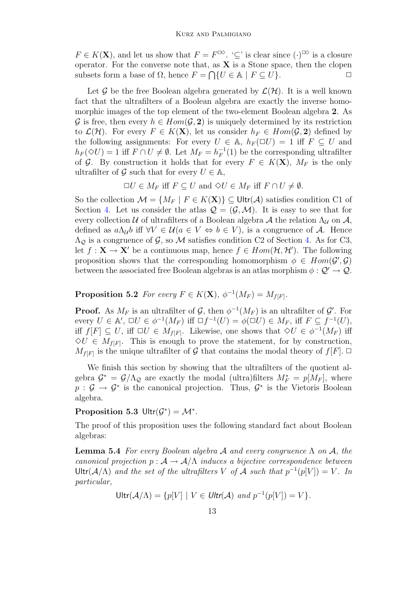$F \in K(\mathbf{X})$ , and let us show that  $F = F^{\boxtimes \Diamond}$ . ' $\subseteq$ ' is clear since  $(\cdot)^{\boxtimes \Diamond}$  is a closure operator. For the converse note that, as  $X$  is a Stone space, then the clopen subsets form a base of  $\Omega$ , hence  $F = \bigcap \{U \in \mathbb{A} \mid F \subseteq U\}.$ 

Let G be the free Boolean algebra generated by  $\mathcal{L}(\mathcal{H})$ . It is a well known fact that the ultrafilters of a Boolean algebra are exactly the inverse homomorphic images of the top element of the two-element Boolean algebra 2. As G is free, then every  $h \in Hom(\mathcal{G}, 2)$  is uniquely determined by its restriction to  $\mathcal{L}(\mathcal{H})$ . For every  $F \in K(\mathbf{X})$ , let us consider  $h_F \in Hom(\mathcal{G}, \mathbf{2})$  defined by the following assignments: For every  $U \in A$ ,  $h_F(\Box U) = 1$  iff  $F \subseteq U$  and  $h_F(\Diamond U) = 1$  iff  $F \cap U \neq \emptyset$ . Let  $M_F = h_F^{-1}$  $_F^{-1}(1)$  be the corresponding ultrafilter of G. By construction it holds that for every  $F \in K(\mathbf{X})$ ,  $M_F$  is the only ultrafilter of G such that for every  $U \in \mathbb{A}$ ,

 $\Box U \in M_F$  iff  $F \subseteq U$  and  $\diamond U \in M_F$  iff  $F \cap U \neq \emptyset$ .

So the collection  $\mathcal{M} = \{M_F \mid F \in K(\mathbf{X})\} \subseteq \mathsf{Ultr}(\mathcal{A})$  satisfies condition C1 of Section [4.](#page-8-0) Let us consider the atlas  $\mathcal{Q} = (\mathcal{G}, \mathcal{M})$ . It is easy to see that for every collection U of ultrafilters of a Boolean algebra A the relation  $\Lambda_{\mathcal{U}}$  on A, defined as  $a\Lambda_{\mathcal{U}}b$  iff  $\forall V \in \mathcal{U}(a \in V \Leftrightarrow b \in V)$ , is a congruence of A. Hence  $\Lambda_{\mathcal{Q}}$  is a congruence of  $\mathcal{G}$ , so  $\mathcal{M}$  satisfies condition C2 of Section [4.](#page-8-0) As for C3, let  $f: \mathbf{X} \to \mathbf{X}'$  be a continuous map, hence  $f \in Hom(\mathcal{H}, \mathcal{H}')$ . The following proposition shows that the corresponding homomorphism  $\phi \in Hom(\mathcal{G}', \mathcal{G})$ between the associated free Boolean algebras is an atlas morphism  $\phi : \mathcal{Q}' \to \mathcal{Q}$ .

**Proposition 5.2** For every  $F \in K(\mathbf{X})$ ,  $\phi^{-1}(M_F) = M_{f[F]}$ .

**Proof.** As  $M_F$  is an ultrafilter of  $\mathcal{G}$ , then  $\phi^{-1}(M_F)$  is an ultrafilter of  $\mathcal{G}'$ . For every  $U \in \mathbb{A}'$ ,  $\Box U \in \phi^{-1}(M_F)$  iff  $\Box f^{-1}(U) = \phi(\Box U) \in M_F$ , iff  $F \subseteq f^{-1}(U)$ , iff  $f[F] \subseteq U$ , iff  $\Box U \in M_{f[F]}$ . Likewise, one shows that  $\Diamond U \in \phi^{-1}(M_F)$  iff  $\Diamond U \in M_{f[F]}$ . This is enough to prove the statement, for by construction,  $M_{f[F]}$  is the unique ultrafilter of G that contains the modal theory of  $f[F]$ .

We finish this section by showing that the ultrafilters of the quotient algebra  $\mathcal{G}^* = \mathcal{G}/\Lambda_{\mathcal{Q}}$  are exactly the modal (ultra)filters  $M_F^* = p[M_F]$ , where  $p: \mathcal{G} \to \mathcal{G}^*$  is the canonical projection. Thus,  $\mathcal{G}^*$  is the Vietoris Boolean algebra.

# <span id="page-12-0"></span>Proposition 5.3 Ultr $(\mathcal{G}^*) = \mathcal{M}^*$ .

The proof of this proposition uses the following standard fact about Boolean algebras:

<span id="page-12-1"></span>**Lemma 5.4** For every Boolean algebra A and every congruence  $\Lambda$  on A, the canonical projection  $p : A \to A/\Lambda$  induces a bijective correspondence between Ultr( $\mathcal{A}/\Lambda$ ) and the set of the ultrafilters V of A such that  $p^{-1}(p[V]) = V$ . In particular,

 $U$ ltr $(\mathcal{A}/\Lambda) = \{p[V] \mid V \in \mathit{Ultr}(\mathcal{A}) \text{ and } p^{-1}(p[V]) = V\}.$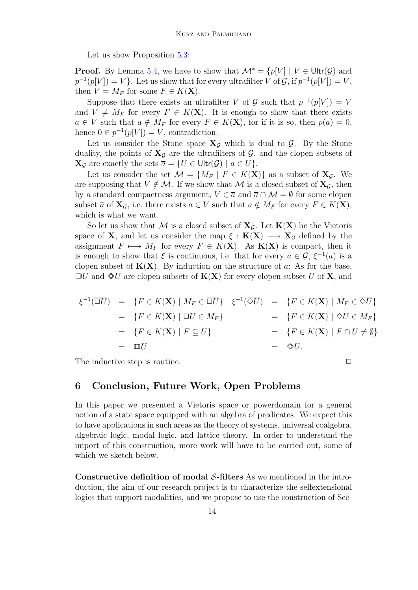Let us show Proposition [5.3:](#page-12-0)

**Proof.** By Lemma [5.4,](#page-12-1) we have to show that  $\mathcal{M}^* = \{p[V] | V \in \text{Ultr}(\mathcal{G}) \text{ and }$  $p^{-1}(p[V]) = V$ . Let us show that for every ultrafilter V of G, if  $p^{-1}(p[V]) = V$ , then  $V = M_F$  for some  $F \in K(\mathbf{X})$ .

Suppose that there exists an ultrafilter V of G such that  $p^{-1}(p[V]) = V$ and  $V \neq M_F$  for every  $F \in K(\mathbf{X})$ . It is enough to show that there exists  $a \in V$  such that  $a \notin M_F$  for every  $F \in K(\mathbf{X})$ , for if it is so, then  $p(a) = 0$ , hence  $0 \in p^{-1}(p[V]) = V$ , contradiction.

Let us consider the Stone space  $X_{\mathcal{G}}$  which is dual to  $\mathcal{G}$ . By the Stone duality, the points of  $X_{\mathcal{G}}$  are the ultrafilters of  $\mathcal{G}$ , and the clopen subsets of  $\mathbf{X}_{\mathcal{G}}$  are exactly the sets  $\overline{a} = \{U \in \mathsf{Ultr}(\mathcal{G}) \mid a \in U\}.$ 

Let us consider the set  $\mathcal{M} = \{M_F \mid F \in K(\mathbf{X})\}$  as a subset of  $\mathbf{X}_{\mathcal{G}}$ . We are supposing that  $V \notin \mathcal{M}$ . If we show that M is a closed subset of  $X_{\mathcal{G}}$ , then by a standard compactness argument,  $V \in \overline{a}$  and  $\overline{a} \cap \mathcal{M} = \emptyset$  for some clopen subset  $\overline{a}$  of  $X_{\mathcal{G}}$ , i.e. there exists  $a \in V$  such that  $a \notin M_F$  for every  $F \in K(\mathbf{X})$ , which is what we want.

So let us show that M is a closed subset of  $X_{\mathcal{G}}$ . Let  $K(X)$  be the Vietoris space of **X**, and let us consider the map  $\xi : K(X) \longrightarrow X_G$  defined by the assignment  $F \mapsto M_F$  for every  $F \in K(\mathbf{X})$ . As  $\mathbf{K}(\mathbf{X})$  is compact, then it is enough to show that  $\xi$  is continuous, i.e. that for every  $a \in \mathcal{G}, \xi^{-1}(\overline{a})$  is a clopen subset of  $K(X)$ . By induction on the structure of a: As for the base,  $\Box U$  and  $\Diamond U$  are clopen subsets of  $K(X)$  for every clopen subset U of X, and

$$
\xi^{-1}(\overline{\square U}) = \{F \in K(\mathbf{X}) \mid M_F \in \overline{\square U}\} \quad \xi^{-1}(\overline{\diamond U}) = \{F \in K(\mathbf{X}) \mid M_F \in \overline{\diamond U}\}
$$
  
\n
$$
= \{F \in K(\mathbf{X}) \mid \square U \in M_F\} = \{F \in K(\mathbf{X}) \mid \diamond U \in M_F\}
$$
  
\n
$$
= \{F \in K(\mathbf{X}) \mid F \subseteq U\} = \{F \in K(\mathbf{X}) \mid F \cap U \neq \emptyset\}
$$
  
\n
$$
= \square U
$$
  
\n
$$
= \diamondsuit U.
$$

The inductive step is routine.  $\Box$ 

### <span id="page-13-0"></span>6 Conclusion, Future Work, Open Problems

In this paper we presented a Vietoris space or powerdomain for a general notion of a state space equipped with an algebra of predicates. We expect this to have applications in such areas as the theory of systems, universal coalgebra, algebraic logic, modal logic, and lattice theory. In order to understand the import of this construction, more work will have to be carried out, some of which we sketch below.

Constructive definition of modal S-filters As we mentioned in the introduction, the aim of our research project is to characterize the selfextensional logics that support modalities, and we propose to use the construction of Sec-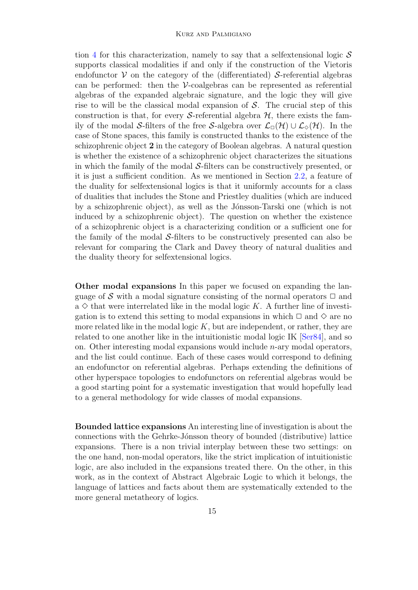tion [4](#page-8-0) for this characterization, namely to say that a selfextensional logic  $S$ supports classical modalities if and only if the construction of the Vietoris endofunctor  $V$  on the category of the (differentiated) S-referential algebras can be performed: then the  $\mathcal V$ -coalgebras can be represented as referential algebras of the expanded algebraic signature, and the logic they will give rise to will be the classical modal expansion of  $S$ . The crucial step of this construction is that, for every S-referential algebra  $H$ , there exists the family of the modal S-filters of the free S-algebra over  $\mathcal{L}_{\Box}(\mathcal{H}) \cup \mathcal{L}_{\Diamond}(\mathcal{H})$ . In the case of Stone spaces, this family is constructed thanks to the existence of the schizophrenic object 2 in the category of Boolean algebras. A natural question is whether the existence of a schizophrenic object characterizes the situations in which the family of the modal S-filters can be constructively presented, or it is just a sufficient condition. As we mentioned in Section [2.2,](#page-5-0) a feature of the duality for selfextensional logics is that it uniformly accounts for a class of dualities that includes the Stone and Priestley dualities (which are induced by a schizophrenic object), as well as the Jónsson-Tarski one (which is not induced by a schizophrenic object). The question on whether the existence of a schizophrenic object is a characterizing condition or a sufficient one for the family of the modal  $S$ -filters to be constructively presented can also be relevant for comparing the Clark and Davey theory of natural dualities and the duality theory for selfextensional logics.

Other modal expansions In this paper we focused on expanding the language of S with a modal signature consisting of the normal operators  $\Box$  and a  $\diamond$  that were interrelated like in the modal logic K. A further line of investigation is to extend this setting to modal expansions in which  $\Box$  and  $\diamond$  are no more related like in the modal logic  $K$ , but are independent, or rather, they are related to one another like in the intuitionistic modal logic IK [\[Ser84\]](#page-15-11), and so on. Other interesting modal expansions would include  $n$ -ary modal operators, and the list could continue. Each of these cases would correspond to defining an endofunctor on referential algebras. Perhaps extending the definitions of other hyperspace topologies to endofunctors on referential algebras would be a good starting point for a systematic investigation that would hopefully lead to a general methodology for wide classes of modal expansions.

Bounded lattice expansions An interesting line of investigation is about the connections with the Gehrke-Jónsson theory of bounded (distributive) lattice expansions. There is a non trivial interplay between these two settings: on the one hand, non-modal operators, like the strict implication of intuitionistic logic, are also included in the expansions treated there. On the other, in this work, as in the context of Abstract Algebraic Logic to which it belongs, the language of lattices and facts about them are systematically extended to the more general metatheory of logics.